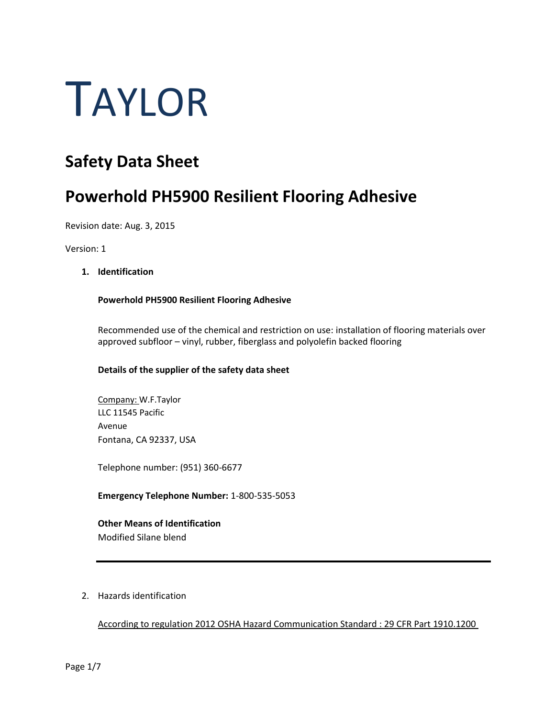# TAYLOR

# **Safety Data Sheet**

# **Powerhold PH5900 Resilient Flooring Adhesive**

Revision date: Aug. 3, 2015

Version: 1

# **1. Identification**

# **Powerhold PH5900 Resilient Flooring Adhesive**

Recommended use of the chemical and restriction on use: installation of flooring materials over approved subfloor – vinyl, rubber, fiberglass and polyolefin backed flooring

# **Details of the supplier of the safety data sheet**

Company: W.F.Taylor LLC 11545 Pacific Avenue Fontana, CA 92337, USA

Telephone number: (951) 360-6677

**Emergency Telephone Number:** 1-800-535-5053

# **Other Means of Identification**

Modified Silane blend

2. Hazards identification

According to regulation 2012 OSHA Hazard Communication Standard : 29 CFR Part 1910.1200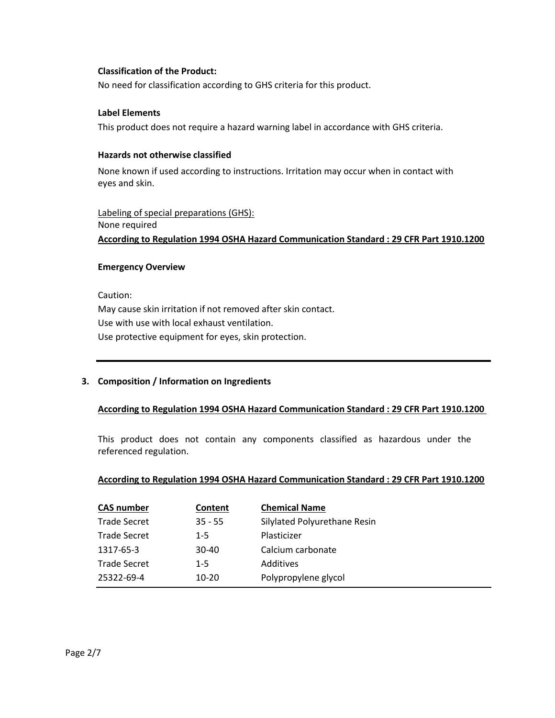# **Classification of the Product:**

No need for classification according to GHS criteria for this product.

# **Label Elements**

This product does not require a hazard warning label in accordance with GHS criteria.

## **Hazards not otherwise classified**

None known if used according to instructions. Irritation may occur when in contact with eyes and skin.

Labeling of special preparations (GHS): None required **According to Regulation 1994 OSHA Hazard Communication Standard : 29 CFR Part 1910.1200**

# **Emergency Overview**

Caution: May cause skin irritation if not removed after skin contact. Use with use with local exhaust ventilation. Use protective equipment for eyes, skin protection.

# **3. Composition / Information on Ingredients**

# **According to Regulation 1994 OSHA Hazard Communication Standard : 29 CFR Part 1910.1200**

This product does not contain any components classified as hazardous under the referenced regulation.

# **According to Regulation 1994 OSHA Hazard Communication Standard : 29 CFR Part 1910.1200**

| <b>CAS number</b>   | Content   | <b>Chemical Name</b>         |
|---------------------|-----------|------------------------------|
| <b>Trade Secret</b> | $35 - 55$ | Silylated Polyurethane Resin |
| <b>Trade Secret</b> | $1 - 5$   | Plasticizer                  |
| 1317-65-3           | $30 - 40$ | Calcium carbonate            |
| <b>Trade Secret</b> | $1 - 5$   | Additives                    |
| 25322-69-4          | $10 - 20$ | Polypropylene glycol         |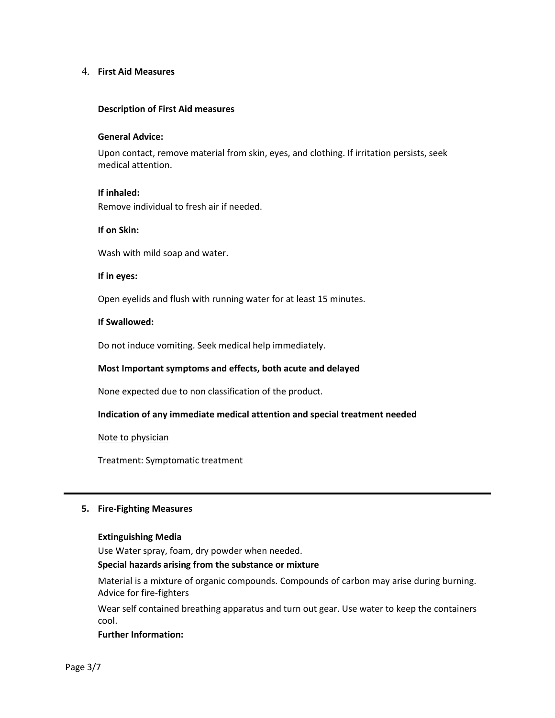#### 4. **First Aid Measures**

#### **Description of First Aid measures**

#### **General Advice:**

Upon contact, remove material from skin, eyes, and clothing. If irritation persists, seek medical attention.

## **If inhaled:**

Remove individual to fresh air if needed.

#### **If on Skin:**

Wash with mild soap and water.

#### **If in eyes:**

Open eyelids and flush with running water for at least 15 minutes.

#### **If Swallowed:**

Do not induce vomiting. Seek medical help immediately.

#### **Most Important symptoms and effects, both acute and delayed**

None expected due to non classification of the product.

#### **Indication of any immediate medical attention and special treatment needed**

#### Note to physician

Treatment: Symptomatic treatment

#### **5. Fire-Fighting Measures**

#### **Extinguishing Media**

Use Water spray, foam, dry powder when needed.

#### **Special hazards arising from the substance or mixture**

Material is a mixture of organic compounds. Compounds of carbon may arise during burning. Advice for fire-fighters

Wear self contained breathing apparatus and turn out gear. Use water to keep the containers cool.

#### **Further Information:**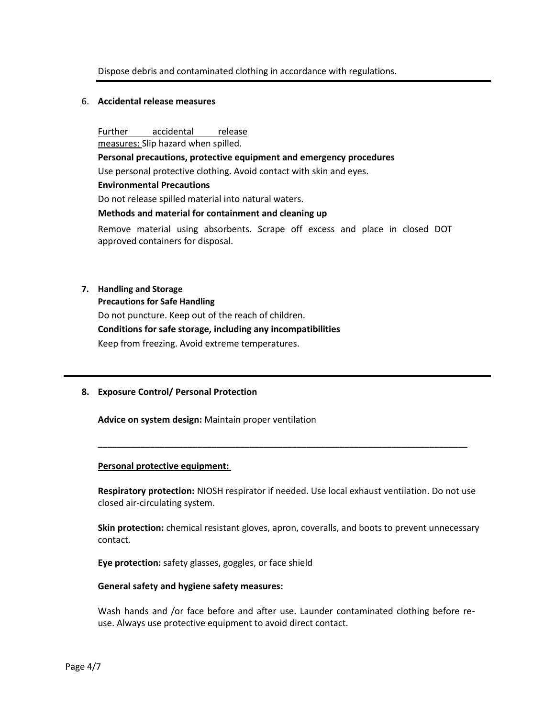# Dispose debris and contaminated clothing in accordance with regulations.

#### 6. **Accidental release measures**

Further accidental release measures: Slip hazard when spilled. **Personal precautions, protective equipment and emergency procedures**  Use personal protective clothing. Avoid contact with skin and eyes. **Environmental Precautions**  Do not release spilled material into natural waters. **Methods and material for containment and cleaning up**  Remove material using absorbents. Scrape off excess and place in closed DOT approved containers for disposal.

#### **7. Handling and Storage**

#### **Precautions for Safe Handling**

Do not puncture. Keep out of the reach of children. **Conditions for safe storage, including any incompatibilities**  Keep from freezing. Avoid extreme temperatures.

#### **8. Exposure Control/ Personal Protection**

**Advice on system design:** Maintain proper ventilation

#### **Personal protective equipment:**

**Respiratory protection:** NIOSH respirator if needed. Use local exhaust ventilation. Do not use closed air-circulating system.

**\_\_\_\_\_\_\_\_\_\_\_\_\_\_\_\_\_\_\_\_\_\_\_\_\_\_\_\_\_\_\_\_\_\_\_\_\_\_\_\_\_\_\_\_\_\_\_\_\_\_\_\_\_\_\_\_\_\_\_\_\_\_\_\_\_\_\_\_\_\_\_\_\_\_\_\_\_\_** 

**Skin protection:** chemical resistant gloves, apron, coveralls, and boots to prevent unnecessary contact.

**Eye protection:** safety glasses, goggles, or face shield

#### **General safety and hygiene safety measures:**

Wash hands and /or face before and after use. Launder contaminated clothing before reuse. Always use protective equipment to avoid direct contact.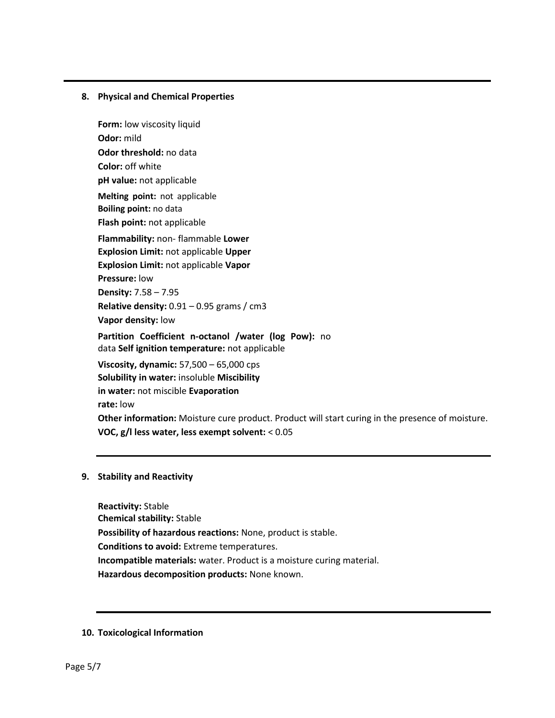# **8. Physical and Chemical Properties**

**Form:** low viscosity liquid **Odor:** mild **Odor threshold:** no data **Color:** off white **pH value:** not applicable **Melting point:** not applicable **Boiling point:** no data **Flash point:** not applicable **Flammability:** non- flammable **Lower Explosion Limit:** not applicable **Upper Explosion Limit:** not applicable **Vapor Pressure:** low **Density:** 7.58 – 7.95 **Relative density:** 0.91 – 0.95 grams / cm3 **Vapor density:** low **Partition Coefficient n-octanol /water (log Pow):** no data **Self ignition temperature:** not applicable **Viscosity, dynamic:** 57,500 – 65,000 cps **Solubility in water:** insoluble **Miscibility in water:** not miscible **Evaporation rate:** low **Other information:** Moisture cure product. Product will start curing in the presence of moisture.

**VOC, g/l less water, less exempt solvent:** < 0.05

# **9. Stability and Reactivity**

**Reactivity:** Stable **Chemical stability:** Stable **Possibility of hazardous reactions:** None, product is stable. **Conditions to avoid:** Extreme temperatures. **Incompatible materials:** water. Product is a moisture curing material. **Hazardous decomposition products:** None known.

#### **10. Toxicological Information**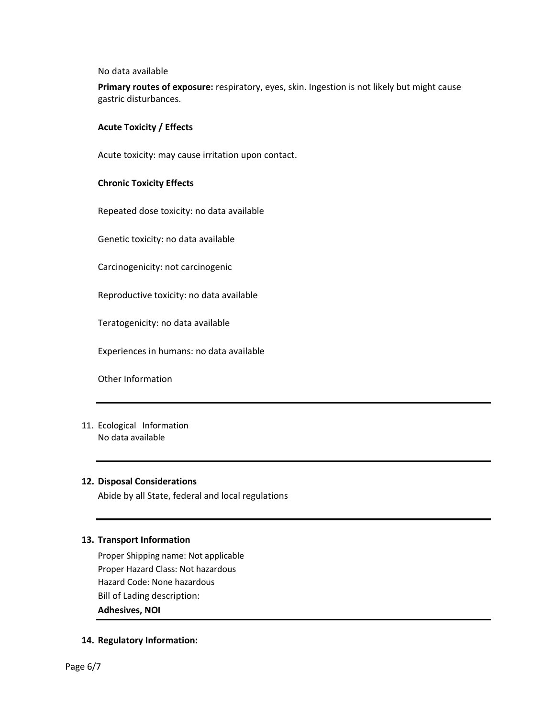No data available

**Primary routes of exposure:** respiratory, eyes, skin. Ingestion is not likely but might cause gastric disturbances.

## **Acute Toxicity / Effects**

Acute toxicity: may cause irritation upon contact.

# **Chronic Toxicity Effects**

Repeated dose toxicity: no data available

Genetic toxicity: no data available

Carcinogenicity: not carcinogenic

Reproductive toxicity: no data available

Teratogenicity: no data available

Experiences in humans: no data available

Other Information

11. Ecological Information No data available

# **12. Disposal Considerations**

Abide by all State, federal and local regulations

#### **13. Transport Information**

Proper Shipping name: Not applicable Proper Hazard Class: Not hazardous Hazard Code: None hazardous Bill of Lading description: **Adhesives, NOI** 

# **14. Regulatory Information:**